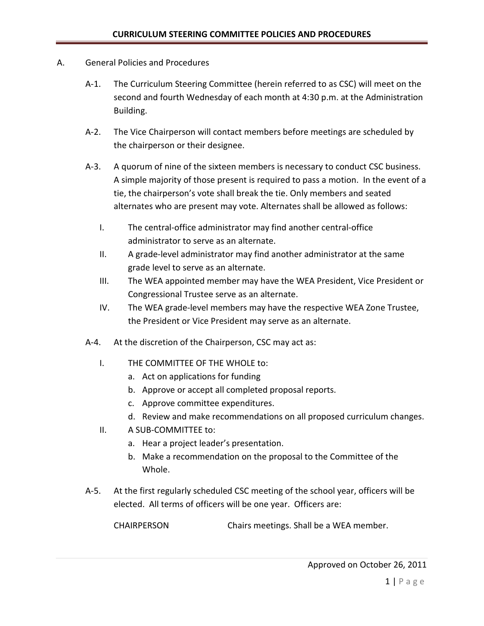- A. General Policies and Procedures
	- A-1. The Curriculum Steering Committee (herein referred to as CSC) will meet on the second and fourth Wednesday of each month at 4:30 p.m. at the Administration Building.
	- A-2. The Vice Chairperson will contact members before meetings are scheduled by the chairperson or their designee.
	- A-3. A quorum of nine of the sixteen members is necessary to conduct CSC business. A simple majority of those present is required to pass a motion. In the event of a tie, the chairperson's vote shall break the tie. Only members and seated alternates who are present may vote. Alternates shall be allowed as follows:
		- I. The central-office administrator may find another central-office administrator to serve as an alternate.
		- II. A grade-level administrator may find another administrator at the same grade level to serve as an alternate.
		- III. The WEA appointed member may have the WEA President, Vice President or Congressional Trustee serve as an alternate.
		- IV. The WEA grade-level members may have the respective WEA Zone Trustee, the President or Vice President may serve as an alternate.
	- A-4. At the discretion of the Chairperson, CSC may act as:
		- I. THE COMMITTEE OF THE WHOLE to:
			- a. Act on applications for funding
			- b. Approve or accept all completed proposal reports.
			- c. Approve committee expenditures.
			- d. Review and make recommendations on all proposed curriculum changes.
		- II. A SUB-COMMITTEE to:
			- a. Hear a project leader's presentation.
			- b. Make a recommendation on the proposal to the Committee of the Whole.
	- A-5. At the first regularly scheduled CSC meeting of the school year, officers will be elected. All terms of officers will be one year. Officers are:

CHAIRPERSON Chairs meetings. Shall be a WEA member.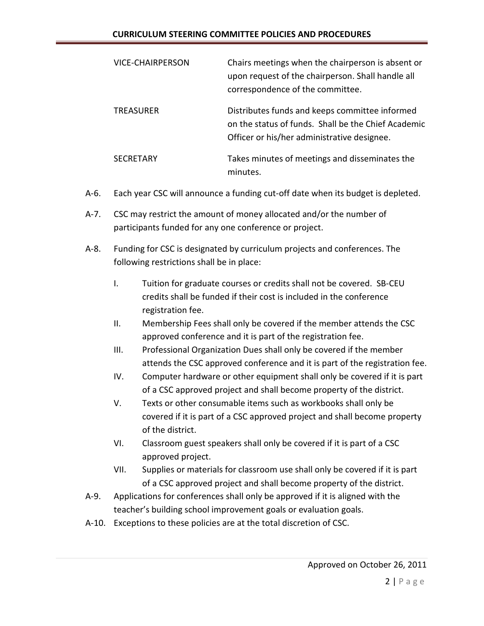## **CURRICULUM STEERING COMMITTEE POLICIES AND PROCEDURES**

| <b>VICE-CHAIRPERSON</b> | Chairs meetings when the chairperson is absent or<br>upon request of the chairperson. Shall handle all<br>correspondence of the committee.           |
|-------------------------|------------------------------------------------------------------------------------------------------------------------------------------------------|
| <b>TREASURER</b>        | Distributes funds and keeps committee informed<br>on the status of funds. Shall be the Chief Academic<br>Officer or his/her administrative designee. |
| <b>SFCRFTARY</b>        | Takes minutes of meetings and disseminates the<br>minutes.                                                                                           |

- A-6. Each year CSC will announce a funding cut-off date when its budget is depleted.
- A-7. CSC may restrict the amount of money allocated and/or the number of participants funded for any one conference or project.
- A-8. Funding for CSC is designated by curriculum projects and conferences. The following restrictions shall be in place:
	- I. Tuition for graduate courses or credits shall not be covered. SB-CEU credits shall be funded if their cost is included in the conference registration fee.
	- II. Membership Fees shall only be covered if the member attends the CSC approved conference and it is part of the registration fee.
	- III. Professional Organization Dues shall only be covered if the member attends the CSC approved conference and it is part of the registration fee.
	- IV. Computer hardware or other equipment shall only be covered if it is part of a CSC approved project and shall become property of the district.
	- V. Texts or other consumable items such as workbooks shall only be covered if it is part of a CSC approved project and shall become property of the district.
	- VI. Classroom guest speakers shall only be covered if it is part of a CSC approved project.
	- VII. Supplies or materials for classroom use shall only be covered if it is part of a CSC approved project and shall become property of the district.
- A-9. Applications for conferences shall only be approved if it is aligned with the teacher's building school improvement goals or evaluation goals.
- A-10. Exceptions to these policies are at the total discretion of CSC.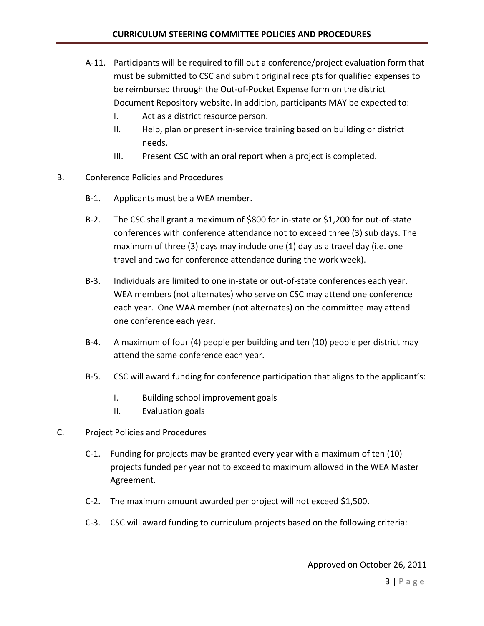- A-11. Participants will be required to fill out a conference/project evaluation form that must be submitted to CSC and submit original receipts for qualified expenses to be reimbursed through the Out-of-Pocket Expense form on the district Document Repository website. In addition, participants MAY be expected to:
	- I. Act as a district resource person.
	- II. Help, plan or present in-service training based on building or district needs.
	- III. Present CSC with an oral report when a project is completed.
- B. Conference Policies and Procedures
	- B-1. Applicants must be a WEA member.
	- B-2. The CSC shall grant a maximum of \$800 for in-state or \$1,200 for out-of-state conferences with conference attendance not to exceed three (3) sub days. The maximum of three (3) days may include one (1) day as a travel day (i.e. one travel and two for conference attendance during the work week).
	- B-3. Individuals are limited to one in-state or out-of-state conferences each year. WEA members (not alternates) who serve on CSC may attend one conference each year. One WAA member (not alternates) on the committee may attend one conference each year.
	- B-4. A maximum of four (4) people per building and ten (10) people per district may attend the same conference each year.
	- B-5. CSC will award funding for conference participation that aligns to the applicant's:
		- I. Building school improvement goals
		- II. Evaluation goals
- C. Project Policies and Procedures
	- C-1. Funding for projects may be granted every year with a maximum of ten (10) projects funded per year not to exceed to maximum allowed in the WEA Master Agreement.
	- C-2. The maximum amount awarded per project will not exceed \$1,500.
	- C-3. CSC will award funding to curriculum projects based on the following criteria: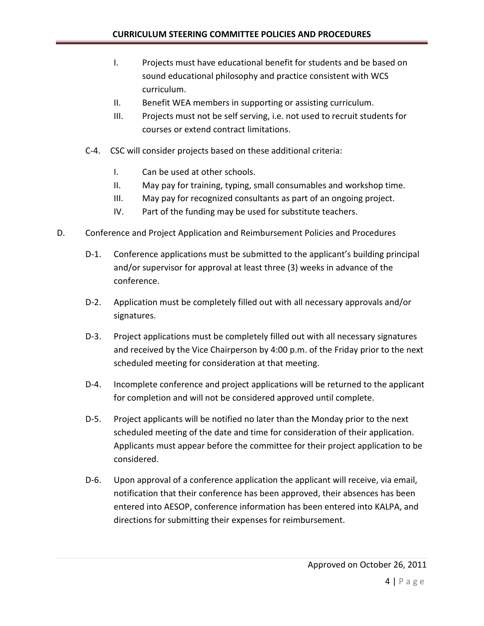- I. Projects must have educational benefit for students and be based on sound educational philosophy and practice consistent with WCS curriculum.
- II. Benefit WEA members in supporting or assisting curriculum.
- III. Projects must not be self serving, i.e. not used to recruit students for courses or extend contract limitations.
- C-4. CSC will consider projects based on these additional criteria:
	- I. Can be used at other schools.
	- II. May pay for training, typing, small consumables and workshop time.
	- III. May pay for recognized consultants as part of an ongoing project.
	- IV. Part of the funding may be used for substitute teachers.
- D. Conference and Project Application and Reimbursement Policies and Procedures
	- D-1. Conference applications must be submitted to the applicant's building principal and/or supervisor for approval at least three (3) weeks in advance of the conference.
	- D-2. Application must be completely filled out with all necessary approvals and/or signatures.
	- D-3. Project applications must be completely filled out with all necessary signatures and received by the Vice Chairperson by 4:00 p.m. of the Friday prior to the next scheduled meeting for consideration at that meeting.
	- D-4. Incomplete conference and project applications will be returned to the applicant for completion and will not be considered approved until complete.
	- D-5. Project applicants will be notified no later than the Monday prior to the next scheduled meeting of the date and time for consideration of their application. Applicants must appear before the committee for their project application to be considered.
	- D-6. Upon approval of a conference application the applicant will receive, via email, notification that their conference has been approved, their absences has been entered into AESOP, conference information has been entered into KALPA, and directions for submitting their expenses for reimbursement.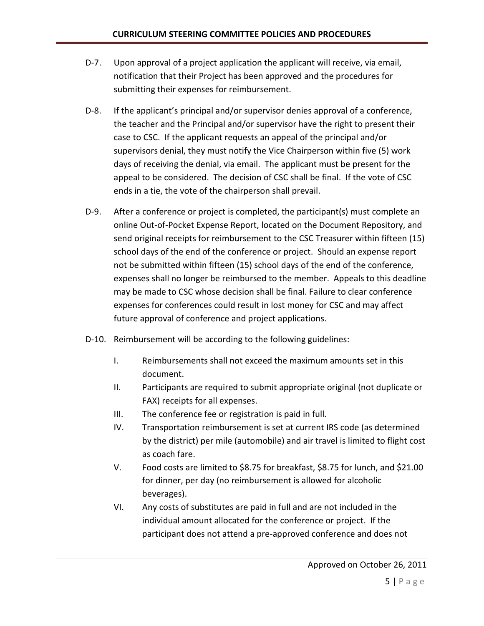- D-7. Upon approval of a project application the applicant will receive, via email, notification that their Project has been approved and the procedures for submitting their expenses for reimbursement.
- D-8. If the applicant's principal and/or supervisor denies approval of a conference, the teacher and the Principal and/or supervisor have the right to present their case to CSC. If the applicant requests an appeal of the principal and/or supervisors denial, they must notify the Vice Chairperson within five (5) work days of receiving the denial, via email. The applicant must be present for the appeal to be considered. The decision of CSC shall be final. If the vote of CSC ends in a tie, the vote of the chairperson shall prevail.
- D-9. After a conference or project is completed, the participant(s) must complete an online Out-of-Pocket Expense Report, located on the Document Repository, and send original receipts for reimbursement to the CSC Treasurer within fifteen (15) school days of the end of the conference or project. Should an expense report not be submitted within fifteen (15) school days of the end of the conference, expenses shall no longer be reimbursed to the member. Appeals to this deadline may be made to CSC whose decision shall be final. Failure to clear conference expenses for conferences could result in lost money for CSC and may affect future approval of conference and project applications.
- D-10. Reimbursement will be according to the following guidelines:
	- I. Reimbursements shall not exceed the maximum amounts set in this document.
	- II. Participants are required to submit appropriate original (not duplicate or FAX) receipts for all expenses.
	- III. The conference fee or registration is paid in full.
	- IV. Transportation reimbursement is set at current IRS code (as determined by the district) per mile (automobile) and air travel is limited to flight cost as coach fare.
	- V. Food costs are limited to \$8.75 for breakfast, \$8.75 for lunch, and \$21.00 for dinner, per day (no reimbursement is allowed for alcoholic beverages).
	- VI. Any costs of substitutes are paid in full and are not included in the individual amount allocated for the conference or project. If the participant does not attend a pre-approved conference and does not